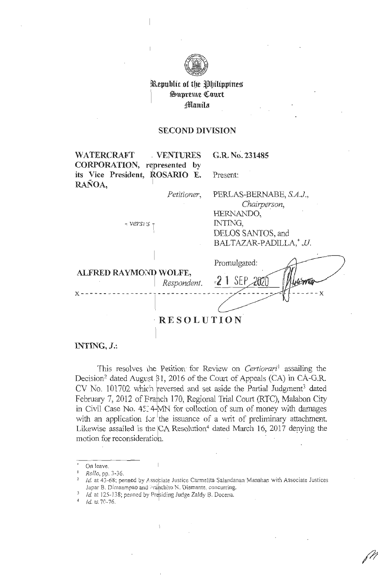

**\***Republic of the **P**hilippines **\$upreme C!ourt filanila** 

#### **SECOND DIVISION**

WATERCRAFT . VENTURES **1 CORPORATION, represented by**  G.R. No. 231485 its Vice President, ROSARIO E. Present: RAÑOA, *Petitioner,* PERLAS-BERNABE, *SA.J., Chairperson,* HERNANDO,  $\frac{1}{2}$  *versi* is  $\frac{1}{2}$  **INTING**, DELOS SANTOS, and BALTAZAR-PADILLA,\* JJ. Promulgated: **ALFRED RA YMONDI WOLFE,**  · *Respondent.*  **<sup>x</sup> ---------------- ------x**  · **RESOLUTION** 

#### **INTING,** *J.:*

This resolves the Petition for Review on *Certiorari*<sup>1</sup> assailing the Decision<sup>2</sup> dated August  $\beta$ 1, 2016 of the Court of Appeals (CA) in CA-G.R. CV No. 101702 which reversed and set aside the Partial Judgment<sup>3</sup> dated February 7, 2012 of Branch 170, Regional Trial Court (RTC), Malabon City in Civil Case No. 45:4-MN for collection of sum of money with damages with an application for the issuance of a writ of preliminary attachment. Likewise assailed is the  $CA$  Resolution<sup>4</sup> dated March 16, 2017 denying the motion for reconsideration.

On leave.

<sup>1</sup>*Rollo,* pp. 3-36. b

 $1/2$  Id. at 43-68; penned by Associate Justice Carmelita Salandanan Manahan with Associate Justices Japar B. Dimaampao and Franchito N. Diamante, concurring.

<sup>&</sup>lt;sup>3</sup> *Id.* at 125-138; penned by Presiding Judge Zaldy B. Docena.  $\frac{4}{1}$  *Id.* at 70-76.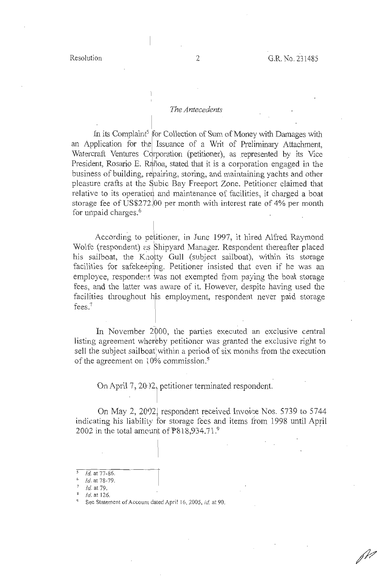#### The *Antecedents*

In its Complaint<sup>5</sup> for Collection of Sum of Money with Damages with an Application for the Issuance of a Writ of Preliminary Attachment, Watercraft Ventures Corporation (petitioner), as represented by its Vice President, Rosario E. Rañoa, stated that it is a corporation engaged in the business of building, repairing, storing, and maintaining yachts and other pleasure crafts at the Subic Bay Freeport Zone. Petitioner claimed that relative to its operation and maintenance of facilities, it charged a boat storage fee of US\$272.00 per month with interest rate of 4% per month for unpaid charges.<sup>6</sup>

According to petitioner, in June 1997, it hired Alfred Raymond Wolfe (respondent) as Shipyard Manager. Respondent thereafter placed his sailboat, the Knotty Gull (subject sailboat), within its storage facilities for safekeeping. Petitioner insisted that even if he was an employee, respondent was not exempted from paying the boat storage fees, and the latter was aware of it. However, despite having used the facilities throughout his employment, respondent never paid storage fees. <sup>7</sup>

In November 2000, the parties executed an exclusive central listing agreement whereby petitioner was granted the exclusive right to sell the subject sailboat within a period of six months from the execution of the agreement on  $10\%$  commission.<sup>8</sup>

On April 7, 20·)2 petitioner terminated respondent.

On May 2, 2002, respondent received Invoice Nos. 5739 to 5744 indicating his liability for storage fees and items from 1998 until April 2002 in the total amount of  $P818,934.71$ .<sup>9</sup>

*<sup>5</sup>***Id. at 77-86.** 

*Id.* at 78-79.

*Id.* at 79.

<sup>8</sup> *Id.* at 126.

See Statement of Account dated April 16, 2005, *id.* at 90.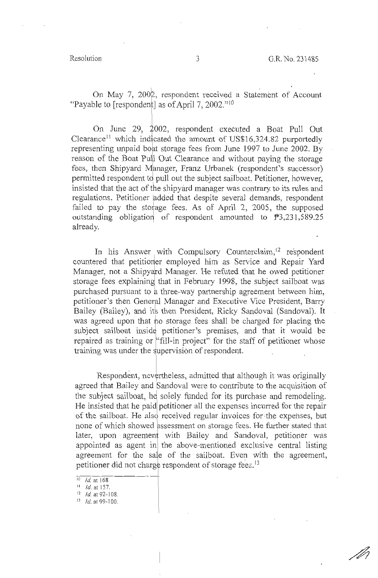/M

On May 7, 2002, respondent received a Statement of Account "Payable to [respondent] as of April 7, 2002." $10$ 

On June 29, 2002, respondent executed a Boat Pull Out Clearance<sup> $11$ </sup> which indicated the amount of US\$16,324.82 purportedly representing unpaid boat storage fees from June 1997 to June 2002. By reason of the Boat Pu]l Out Clearance and without paying the storage fees, then Shipyard Manager, Franz Urbanek (respondent's successor) permitted respondent to pull out the subject sailboat. Petitioner, however, insisted that the act of the shipyard manager was contrary to its rules and regulations. Petitioner added that despite several demands, respondent failed to pay the storage fees. As of April 2, 2005, the supposed outstanding obligation of respondent amounted to  $\mathbb{P}3,231,589.25$ already.

In his Answer with Compulsory Counterclaim,<sup>12</sup> respondent countered that petitioner employed him as Service and Repair Yard Manager, not a Shipyard Manager. He refuted that he owed petitioner storage fees explaining that in February 1998, the subject sailboat was purchased pursuant to a three-way partnership agreement between him, petitioner's then General Manager and Executive Vice President, Barry Bailey (Bailey), and its then President, Ricky Sandoval (Sandoval). It was agreed upon that ho storage fees shall be charged for placing the subject sailboat inside petitioner's premises, and that it would be repaired as training or "fill-in project" for the staff of petitioner whose training was under the supervision of respondent.

Respondent, nevertheless, admitted that although it was originally agreed that Bailey and Sandoval were to contribute to the acquisition of the subject sailboat, he solely funded for its purchase and remodeling. He insisted that he paid\ petitioner all the expenses incurred for the repair of the sailboat. He also received regular invoices for the expenses, but none of which showed assessment on storage fees. He further stated that later, upon agreement with Bailey and Sandoval, petitioner was appointed as agent in the above-mentioned exclusive central listing agreement for the sale of the sailboat. Even with the agreement, petitioner did not charge respondent of storage fees.<sup>13</sup>

 $12$  *Id.* at 92-108.

<sup>&</sup>lt;sup>10</sup> *Id.* at 168<br><sup>11</sup> *Id.* at 157.

 $13$  *Id.* at 99-100.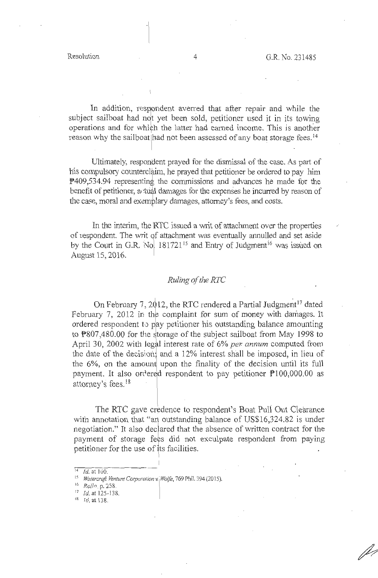In addition, respondent averred that after repair and while the subject sailboat had not yet been sold, petitioner used it in its towing operations and for which the latter had earned income. This is another reason why the sailboat had not been assessed of any boat storage fees.<sup>14</sup>

Ultimately, respondent prayed for the dismissal of the case. As part of his compulsory counterclaim, he prayed that petitioner be ordered to pay him P409,534.94 representing the commissions and advances he made for the benefit of petitioner, a tual damages for the expenses he incurred by reason of the case, moral and exemplary damages, attorney's fees, and costs.

In the interim, the RTC issued a writ of attachment over the properties of respondent. The writ of attachment was eventually annulled and set aside by the Court in G.R. No.  $181721^{15}$  and Entry of Judgment<sup>16</sup> was issued on August 15, 2016.

### *Ruling of the RTC*

On February 7, 2012, the RTC rendered a Partial Judgment<sup>17</sup> dated February 7, 2012 in the complaint for sum of money with damages. It ordered respondent to pay petitioner his outstanding balance amounting to P807,480.00 for the storage of the subject sailboat from May 1998 to April 30, 2002 with legal interest rate of 6% *per. annum* computed from the date of the decision, and a  $12\%$  interest shall be imposed, in lieu of the 6%, on the amount upon the finality of the decision until its full payment. It also ordered respondent to pay petitioner  $P$ 100,000.00 as attorney's fees. <sup>18</sup>

The RTC gave credence to respondent's Boat Puli Out Clearance with annotation that "an outstanding balance of US\$16,324.82 is under negotiation." It also declared that the absence of written contract for the payment of storage fees did not exculpate respondent from paying petitioner for the use of its facilities.

 $-\frac{1}{2}$ 

 $\overline{14}$  *Id.* at  $\overline{100}$ .

<sup>&</sup>lt;sup>15</sup> *Watercraft Venture Corporation v. Wolfe*, 769 Phil. 394 (2015).<br><sup>16</sup> *Rollo*, p. 258.

 $17$  *Id.* at 125-138.

 $18$   $1d$ , at 138.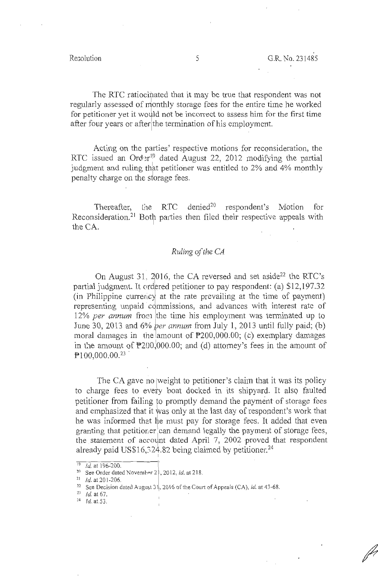The RTC ratiocinated that it may be true that respondent was not regularly assessed of monthly storage fees for the entire time he worked for petitioner yet it would not be incorrect to assess him for the first time after four years or after the termination of his employment.

Acting on the parties' respective motions for reconsideration, the Acting on the parties' respective motions for reconsideration, the<br>RTC issued an Order<sup>19</sup> dated August 22, 2012 modifying the partial judgment and ruling that petitioner was entitled to 2% and 4% monthly penalty charge on the storage fees. .<br>In the first product of the first part of the first part of the first part of the first part of the first part<br>In the first part of the first part of the first part of the first part of the first part of the first part o

Thereafter, the RTC denied<sup>20</sup> respondent's Motion for Reconsideration.<sup>21</sup> Both parties then filed their respective appeals with the CA.

#### *Ruling of the CA*

On August 31, 2016, the CA reversed and set aside<sup>22</sup> the RTC's partial judgment. It ordered petitioner to pay respondent: (a) \$12,197.32 (in Philippine currericy at the rate prevailing at the time of payment) representing unpaid commissions, and advances with interest rate of 12% *per annum* from the time his employment was terminated up to June 30, 2013 and  $6\%$  *per annum* from July 1, 2013 until fully paid; (b) moral damages in the amount of  $P200,000.00$ ; (c) exemplary damages in the amount of  $\mathbb{P}200,000,00$ ; and (d) attorney's fees in the amount of  $P100,000.00^{23}$ 

The CA gave no weight to petitioner's claim that it was its policy to charge fees to every boat docked in its shipyard. It also faulted petitioner from failing to promptly demand the payment of storage fees and emphasized that it was only at the last day of respondent's work that he was informed that he must pay for storage fees. It added that even granting that petitioner can demand legally the payment of storage fees, the statement of account dated April 7, 2002 proved that respondent already paid US\$16,  $324.82$  being claimed by petitioner.<sup>24</sup>

<sup>24</sup> *Id.* at 53.

<sup>&</sup>lt;sup>19</sup> *Id.* at 196-200.<br><sup>20</sup> See Order dated November 2 , 2012, *id.* at 218.<br><sup>21</sup> *Id.* at 201-206.<br><sup>23</sup> *Id.* at 67.<br><sup>23</sup> *Id.* at 67.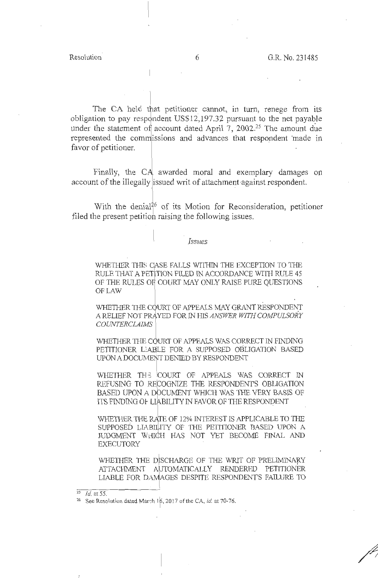The CA held that petitioner cannot, in turn, renege from its obligation to pay respondent US\$12,197.32 pursuant to the net payable under the statement of account dated April 7, 2002.<sup>25</sup> The amount due represented the commissions and advances that respondent made in favor of petitioner.

Finally, the CA awarded moral and exemplary damages on account of the illegally issued writ of attachment against respondent.

With the denial<sup>26</sup> of its Motion for Reconsideration, petitioner filed the present petition raising the following issues.

#### *Issues*

WHETHER THIS CASE FALLS WITHIN THE EXCEPTION TO THE RULE THAT A PETITION FILED IN ACCORDANCE WITH RULE 45 OF THE RULES OF COURT MAY ONLY RAISE PURE QUESTIONS OFLAW

WHETHER THE COURT OF APPEALS MAY GRANT RESPONDENT A RELIEF NOT PRAYED FOR IN HIS *ANSWER WITH COMPULSORY COUNTERCLAIMS* 

WHETHER THE COURT OF APPEALS WAS CORRECT IN FINDING PETITIONER LABLE FOR A SUPPOSED OBLIGATION BASED UPON A DOCUMENT DENIED BY RESPONDENT

WHETHER THE COURT OF APPEALS WAS CORRECT IN REFUSING TO RECOGNIZE THE RESPONDENT'S OBLIGATION<br>BASED UPON A DOCUMENT WHICH WAS THE VERY BASIS OF REFUSING TO RECOGNIZE THE RESPONDENT'S OBLIGATION lTS FIN"DING 01- LIABILITY IN" FAVOR OF THE RESPONDENT

WHETHER THE RATE OF 12% INTEREST IS APPLICABLE TO THE SUPPOSED LIABILITY OF THE PETITIONER BASED UPON A JUDGMENT WHICH HAS NOT YET BECOME FINAL AND EXECUTORY

WHETHER THE DISCHARGE OF THE WRIT OF PRELIMINARY ATTACHMENT AUTOMATICALLY RENDERED PETITIONER WHETHER THE DISCHARGE OF THE WRIT OF FREEININGRY<br>ATTACHMENT AUTOMATICALLY RENDERED PETITIONER<br>LIABLE FOR DAMAGES DESPITE RESPONDENT'S FAILURE TO

*T* 

 $\frac{25}{25}$  *Id.* at 55. **6**<br><sup>26</sup> See Resolution dated March 16, 2017 of the CA, *id.* at 70-76.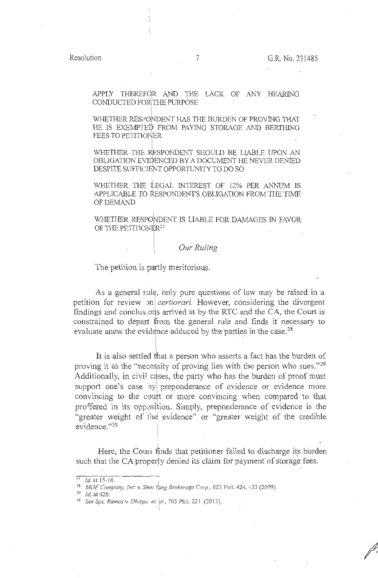APPLY THEREFOR AND THE LACK OF ANY HEARING CONDUCTED FOR THE PURPOSE

WHETHER RESPONDENT HAS THE BURDEN OF PROVING THAT HE IS EXEMPTED FROM PAYING STORAGE AND BERTHING FEES TO PETITIONER

WHETHER THE RESPONDENT SHOULD BE LIABLE UPON AN OBLIGATION EVIDENCED BY A DOCUMENT HE NEVER DENIED DESPITE SUFFICIENT OPPORTUNITY TO DO SO

WHETHER THE LEGAL INTEREST OF 12% PER ANNUM IS APPLICABLE TO RESPONDENT'S OBLIGATION FROM THE TIME OF DEMAND

WHETHER RESPONDENT IS LIABLE FOR DAMAGES IN FAVOR OF THE PETITIONER<sup>27</sup>

*Our Ruling* 

The petition is partly meritorious.

As a general rule, only pure questions of law may be raised in a petition for review on *certiorari*. However, considering the divergent findings and conclustons arrived at by the RTC and the CA, the Court is constrained to depart from the general rule and finds it necessary to evaluate anew the evidence adduced by the parties in the case.<sup>28</sup>

It is also settled that a person who asserts a fact has the burden of proving it as the "necessity of proving lies with the person who sues." $29$ Additionally, in civil cases, the party who has the burden of proof must support one's case by preponderance of evidence or evidence more convincing to the court or more convincing when compared to that proffered in its opposifion. Simply, preponderance of evidence is the "greater weight of ihe evidence" or "greater weight of the credible evidence. "30

Here, the Coun finds that petitioner failed to discharge its burden such that the CA properly denied its claim for payment of storage fees.

T

 $\frac{27}{1}$ *Id.* at 15-16.

<sup>&</sup>lt;sup>28</sup> *MOF Company, Inc. v. Shin Yang Brokerage Corp.*, 623 Phil. 424,  $\cdot$ , 33 (2009).<br><sup>29</sup> *Id.* at 426.

<sup>29</sup>*Id.* at 426. . 30 *See Sps. Ramos* v. *Ob,:fpo\_ et. '0/. ,* 705 Phil. 221 (2013).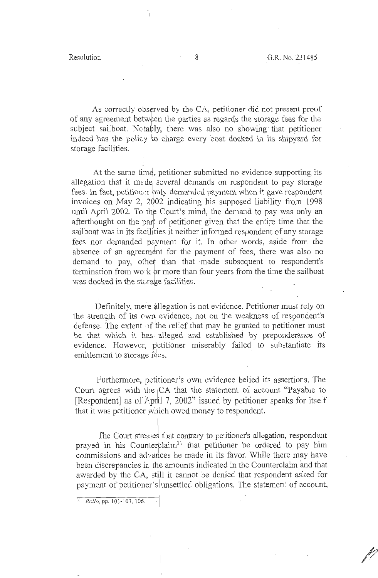As correctly observed by the CA, petitioner did not present proof of any agreement between the parties as regards the storage fees for the subject sailboat. Notably, there was also no showing that petitioner indeed has the policy to charge every boat docked in its shipyard for storage facilities.

At the same time, petitioner submitted no evidence supporting its allegation that it mede several demands on respondent to pay storage fees. In fact, petition or only demanded payment when it gave respondent invoices on May 2, 2002 indicating his supposed liability from 1998 until April 2002. To the Court's mind, the demand to pay was only an afterthought on the part of petitioner given that the entire time that the sailboat was in its facilities it neither informed respondent of any storage fees nor demanded payment for it. In other words, aside from the absence of an agreement for the payment of fees, there was also no<br>demand to pay other than that made subsequent to respondent's demand to pay, other than that ·made subsequent to respondent's termination from wo:  $k$  or more than four years from the time the sailboat was docked in the storage facilities. . If  $\mathcal{L}$  is the same intervals of  $\mathcal{L}$ 

Definitely, mere allegation is not evidence. Petitioner must rely on the strength of its own evidence, not on the weakness of respondent's defense. The extent of the relief that may be granted to petitioner must be that which it has. alleged and established by preponderance of evidence. However, petitioner miserably failed to substantiate its entitlement to storage fees.

Furthermore, petitioner's own evidence belied its assertions. The Court agrees with the CA that the statement of account "Payable to [Respondent] as of April 7, 2002" issued by petitioner speaks for itself that it was petitioner which owed money to respondent.

The Court stresses that contrary to petitioner's allegation, respondent prayed in his Counterclaim<sup>31</sup> that petitioner be ordered to pay him commissions and advances he made in its favor. While there may have been discrepancies in the amounts indicated in the Counterclaim and that awarded by the CA, still it cannot be denied that respondent asked for payment of petitioner's unsettled obligations. The statement of account,

<sup>3</sup> <sup>1</sup>*Rollo,* pp. IO I -103, 106.

7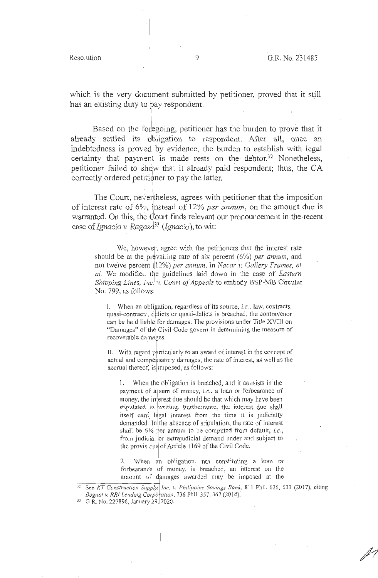which is the very document submitted by petitioner, proved that it still has an existing duty to pay respondent.

Based on the foregoing, petitioner has the burden to prove that it already settled its obligation to respondent. After all, once an indebtedness is proved by evidence, the burden to establish with legal certainty that payment is made rests on the debtor.<sup>32</sup> Nonetheless, petitioner failed to show that it already paid respondent; thus, the CA correctly ordered petitioner to pay the latter.

The Court, nevertheless, agrees with petitioner that the imposition of interest rate of  $6\%$ , instead of 12% *per annum*, on the amount due is warranted. On this, the Court finds relevant our pronouncement in the recent case of *Ignacio v. Ragasd*<sup>33</sup> (*Ignacio*), to wit:

We, however, agree with the petitioners that the interest rate should be at the prevailing rate of six percent (6%) *per annum*, and not twelve perce:1t 12%) *per annum.* In *Nacar v. Gallery Frames, et*  al. We modified the guidelines laid down in the case of *Eastern Shipping Lines, Inc. v. Court of Appeals* to embody BSP-MB Circular No. 799, as follows:

I. When an obligation, regardless of its source, *i.e.*, law, contracts, quasi-contracte, delicts or quasi-delicts is breached, the contravenor can be held liable for damages. The provisions under Title XVIII on "Damages" of the Civil Code govern in determining the measure of recoverable da nages.

11. With regard particu larly to an award of interest in the concept of actual and compensatory damages, the rate of interest, as well as the accrual thereof, is imposed, as follows:

1. When the obligation is breached, and it consists in the payment of a sum of money, *i.e.*, a loan or forbearance of money, the interest due should be that which may have been stipulated in writing. Furthermore, the interest due shall itself earri legal interest from the time it is judicially demanded. In the absence of stipulation, the rate of interest shall be 6% per annum to be computed from default, *i.e.*, from judicial or extrajudicial demand under and subject to the provis ons of Article 1169 of the Civil Code.

2. When an obligation, not constituting a loan or forbearance of money, is breached, an interest on the amount of damages awarded may be imposed at the

<sup>&</sup>lt;sup>32</sup> See KT Construction Supply, Inc. v. Philippine Savings Bank, 811 Phil. 626, 633 (2017), citing *Bognot v. RRI Lending Corporation, 736 Phil. 357, 367 (2014).* 

*<sup>33</sup>*G.R. No. 227896, January 29, 2020.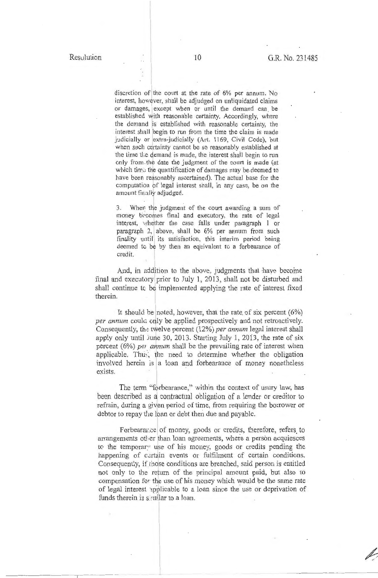discretion of the court at the rate of 6% per annum. No interest, however, shall be adjudged on unliquidated claims or damages, except when or until the demand can be established with reasonable certainty. Accordingly, where the demand is established with reasonable certainty, the interest shall begin to run from the time the daim is made judicially or extra-judicially (Art. 1169, Civil Code), but when such certainty cannot be so reasonably established at the time tl;e demand is made, the interest shail begin to run only from the date the judgment of the court is made (at which time the quantification of damages may be deemed to have been reasonably ascertained). The actual base for the computation pf legal interest shall, in any case, be on the amount finally adjudged.

3. When the judgment of the court awarding a sum of money becomes final and executory, the rate of legal interest, whether the case falls under paragraph 1 or paragraph 2, above, shall be 6% per annum from such finality until its satisfaction, this interim period being deemed to be by then an equivalent to a forbearance of credit.

And, in addition to the above, judgments that have become final and executory prior to July 1, 2013, shall not be disturbed and shall continue to be implemented applying the rate of interest fixed therein.

It should be noted, however, that the rate of six percent  $(6%)$ per annum could only be applied prospectively and not retroactively. Consequently, the twelve percent (12%) per annum legal interest shall apply only until June 30, 2013. Starting July 1, 2013, the rate of six percent (6%) pei annum shall be the prevailing rate of interest when applicable. Thuy, the need to determine whether the obligation involved herein is a loan and forbearance of money nonetheless exists.

The term "forbearance," within the context of usury law, has been described as *d* contractual obligation of a lender or creditor to refrain, during a given period of time, from requiring the borrower or debtor to repay the loan or debt then due and payable.

Forbearance of money, goods or credits, therefore, refers to arrangements otler than loan agreements, where a person acquiesces to the temporary use of his money, goods or credits pending the happening of certain events or fulfilment of certain conditions. Consequently, if those conditions are breached, said person is entitled not only to the return of the principal amount paid, but also to compensation for the use of his money which would be the same rate of legal interest 1pplicable to a loan since the use or deprivation of funds therein is somilar to a loan.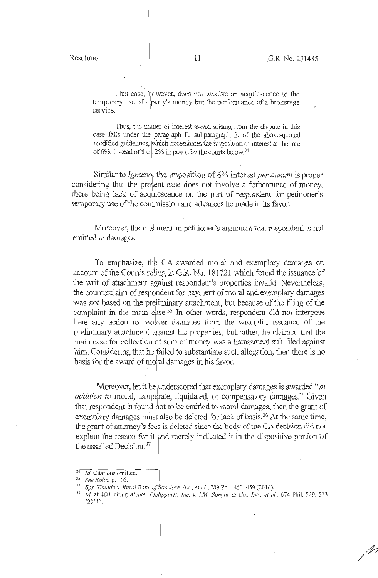This case, however, does not involve an acquiescence to the temporary use of a party's money but the performance of a brokerage service.

Thus, the matter of interest award arising from the dispute in this case falls under the paragraph II, subparagraph 2, of the above-quoted modified guidelines, which necessitates the imposition of interest at the rate of 6%, instead of the  $12\%$  imposed by the courts below.<sup>34</sup>

Similar to *Ignacio*, the imposition of 6% interest *per annum* is proper considering that the present case does not involve a forbearance of money, there being lack of acqyiescence on the part of respondent for petitioner's temporary use of the commission and advances he made in its favor.

Moreover, there is merit in petitioner's argument that respondent is not entitled to damages. .

To emphasize, the CA awarded moral and exemplary damages on account of the Court's ruling in G.R. No. 181721 which found the issuance of the writ of attachment against respondent's properties invalid. Nevertheless, the counterclaim of respondent for payment of moral and exemplary damages was *not* based on the preliminary attachment, but because of the filing of the complaint in the main case.<sup>35</sup> In other words, respondent did not interpose here any action to recover damages from the wrongful issuance of the preliminary attachment against his properties, but rather, he claimed that the main case for collection of sum of money was a harassment suit filed against him. Considering that he failed to substantiate such allegation, then there is no basis for the award of moral damages in his favor.

Moreover, let it be underscored that exemplary damages is awarded "*in addition to* moral, temperate, liquidated, or compensatory damages." Given that respondent is found not to be entitled to moral damages, then the grant of exemplary damages must also be deleted for lack of basis.<sup>36</sup> At the same time, the grant of attorney's fees is deleted sirice the body of the CA decision did not explain the reason for it and merely indicated it in the dispositive portion of the assailed Decision.<sup>37</sup>

<sup>&</sup>lt;sup>34</sup> *Id.* Citations omitted.<br><sup>35</sup> *See Rollo*, p. 105.<br><sup>36</sup> *Sps. Timado v. Rural Bam of §an Jose, Inc., et al., 789 Phil. 453, 459 (2016).* 

<sup>&</sup>lt;sup>37</sup> Id. at 460, citing *Alcatel Philippines, Inc. v. I.M. Bongar & Co., Inc.; et al., 674 Phil. 529, 533*  $(2011).$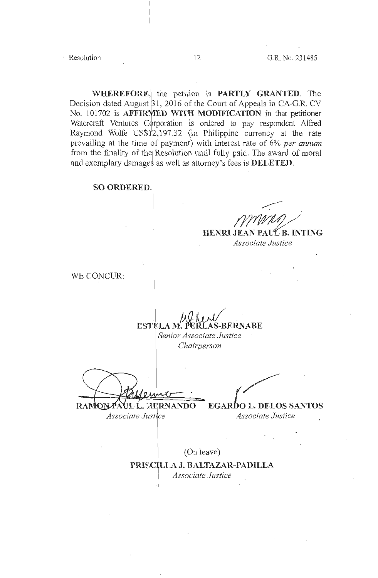**WHEREFORE,** the petition is **PARTLY GRANTED**. The Decision dated August  $31$ , 2016 of the Court of Appeals in CA-G.R. CV No. 101702 is **AFFIRMED WITH MODIFICATION** in that petitioner Watercraft Ventures Corporation is ordered to pay respondent Alfred Raymond Wolfe US\$1<sup>2</sup>,197.32 (in Philippine currency at the rate prevailing at the time of payment) with interest rate of 6% *per annum* from the finality of the Resolution until fully paid. The award of moral and exemplary damages as well as attorney's fees is **DELETED**.

#### **SO ORDERED.**

HENRI JEAN PAUL B. INTING *Associate Justice* 

WE CONCUR:

When **ESTELA** *M.* **PERLAS-BERNABE** 

*Senior Associate Justice Chairperson* 

ESTELA M. PERLAS-BERNABE<br>
Senior Associate Justice<br>
Chairperson<br>
Chairperson<br>
CAMONPAUL L. HERNANDO EGARDO L. DELOS SANTOS

*Associate Justice* 

(On leave)

 $PRISCILLA J. BALTAZAR-PADILLA$ *Associate Justice*